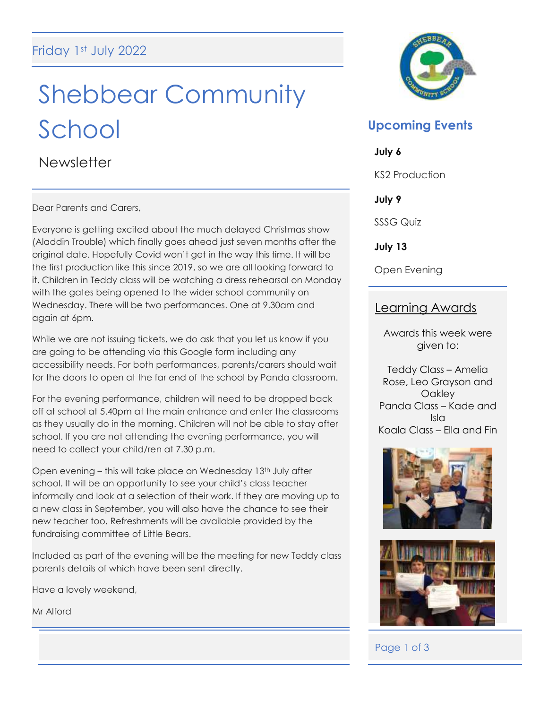# Shebbear Community School

**Newsletter** 

Dear Parents and Carers,

Everyone is getting excited about the much delayed Christmas show (Aladdin Trouble) which finally goes ahead just seven months after the original date. Hopefully Covid won't get in the way this time. It will be the first production like this since 2019, so we are all looking forward to it. Children in Teddy class will be watching a dress rehearsal on Monday with the gates being opened to the wider school community on Wednesday. There will be two performances. One at 9.30am and again at 6pm.

While we are not issuing tickets, we do ask that you let us know if you are going to be attending via this Google form including any accessibility needs. For both performances, parents/carers should wait for the doors to open at the far end of the school by Panda classroom.

For the evening performance, children will need to be dropped back off at school at 5.40pm at the main entrance and enter the classrooms as they usually do in the morning. Children will not be able to stay after school. If you are not attending the evening performance, you will need to collect your child/ren at 7.30 p.m.

Open evening - this will take place on Wednesday 13<sup>th</sup> July after school. It will be an opportunity to see your child's class teacher informally and look at a selection of their work. If they are moving up to a new class in September, you will also have the chance to see their new teacher too. Refreshments will be available provided by the fundraising committee of Little Bears.

Included as part of the evening will be the meeting for new Teddy class parents details of which have been sent directly.

Have a lovely weekend,

Mr Alford



# **Upcoming Events**

#### **July 6**

KS2 Production

**July 9**

SSSG Quiz

**July 13**

Open Evening

# Learning Awards

Awards this week were given to:

Teddy Class – Amelia Rose, Leo Grayson and **Oakley** Panda Class – Kade and Isla Koala Class – Ella and Fin





# Page 1 of 3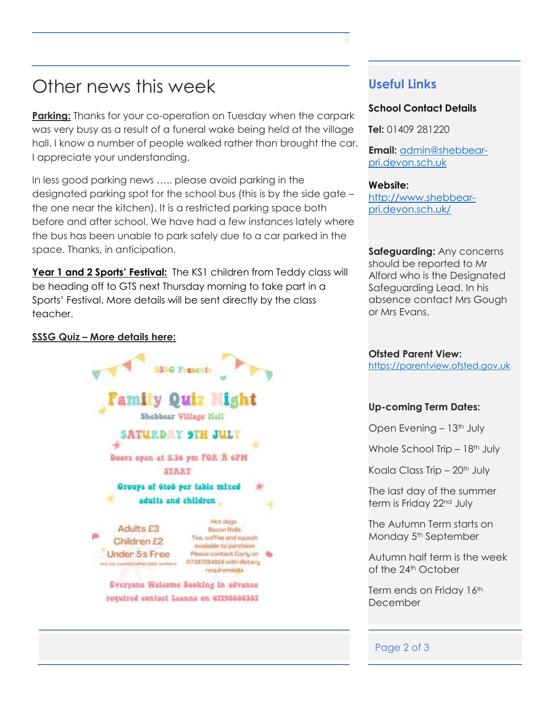# Other news this week

**Parking:** Thanks for your co-operation on Tuesday when the carpark was very busy as a result of a funeral wake being held at the village hall. I know a number of people walked rather than brought the car. I appreciate your understanding.

In less good parking news ….. please avoid parking in the designated parking spot for the school bus (this is by the side gate – the one near the kitchen). It is a restricted parking space both before and after school. We have had a few instances lately where the bus has been unable to park safely due to a car parked in the space. Thanks, in anticipation.

**Year 1 and 2 Sports' Festival:** The KS1 children from Teddy class will be heading off to GTS next Thursday morning to take part in a Sports' Festival. More details will be sent directly by the class teacher.

#### **SSSG Quiz – More details here:**



### **Useful Links**

#### **School Contact Details**

**Tel:** 01409 281220

**Email:** [admin@shebbear](mailto:admin@shebbear-pri.devon.sch.uk)[pri.devon.sch.uk](mailto:admin@shebbear-pri.devon.sch.uk)

#### **Website:**

[http://www.shebbear](http://www.shebbear-pri.devon.sch.uk/)[pri.devon.sch.uk/](http://www.shebbear-pri.devon.sch.uk/)

**Safeguarding:** Any concerns should be reported to Mr Alford who is the Designated Safeguarding Lead. In his absence contact Mrs Gough or Mrs Evans.

**Ofsted Parent View:** [https://parentview.ofsted.gov.uk](https://parentview.ofsted.gov.uk/)

#### **Up-coming Term Dates:**

Open Evening - 13<sup>th</sup> July

Whole School Trip  $-18<sup>th</sup>$  July

Koala Class Trip  $-20$ <sup>th</sup> July

The last day of the summer term is Friday 22<sup>nd</sup> July

The Autumn Term starts on Monday 5<sup>th</sup> September

Autumn half term is the week of the 24<sup>th</sup> October

Term ends on Friday 16th December

#### Page 2 of 3

i<br>I